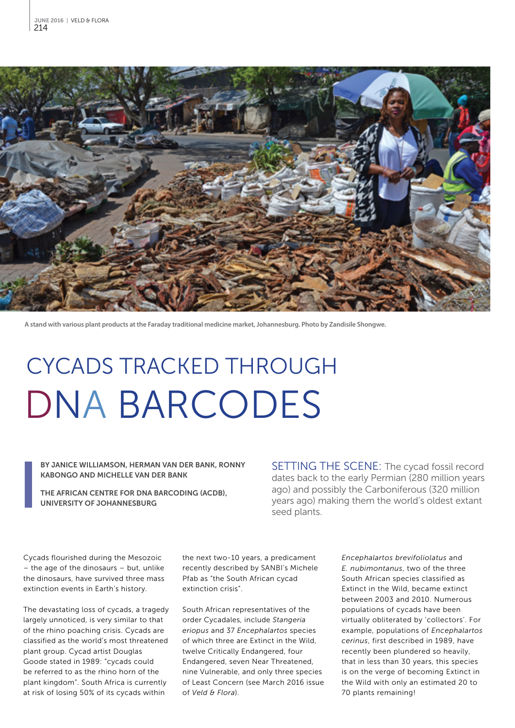

**A stand with various plant products at the Faraday traditional medicine market, Johannesburg. Photo by Zandisile Shongwe.**

# CYCADS TRACKED THROUGH DNA BARCODES

#### BY JANICE WILLIAMSON, HERMAN VAN DER BANK, RONNY KABONGO AND MICHELLE VAN DER BANK

THE AFRICAN CENTRE FOR DNA BARCODING (ACDB), UNIVERSITY OF JOHANNESBURG

SETTING THE SCENE: The cycad fossil record dates back to the early Permian (280 million years ago) and possibly the Carboniferous (320 million years ago) making them the world's oldest extant seed plants.

Cycads flourished during the Mesozoic – the age of the dinosaurs – but, unlike the dinosaurs, have survived three mass extinction events in Earth's history.

The devastating loss of cycads, a tragedy largely unnoticed, is very similar to that of the rhino poaching crisis. Cycads are classified as the world's most threatened plant group. Cycad artist Douglas Goode stated in 1989: "cycads could be referred to as the rhino horn of the plant kingdom". South Africa is currently at risk of losing 50% of its cycads within

the next two-10 years, a predicament recently described by SANBI's Michele Pfab as "the South African cycad extinction crisis".

South African representatives of the order Cycadales, include *Stangeria eriopus* and 37 *Encephalartos* species of which three are Extinct in the Wild, twelve Critically Endangered, four Endangered, seven Near Threatened, nine Vulnerable, and only three species of Least Concern (see March 2016 issue of *Veld & Flora*).

*Encephalartos brevifoliolatus* and *E. nubimontanus*, two of the three South African species classified as Extinct in the Wild, became extinct between 2003 and 2010. Numerous populations of cycads have been virtually obliterated by 'collectors'. For example, populations of *Encephalartos cerinus*, first described in 1989, have recently been plundered so heavily, that in less than 30 years, this species is on the verge of becoming Extinct in the Wild with only an estimated 20 to 70 plants remaining!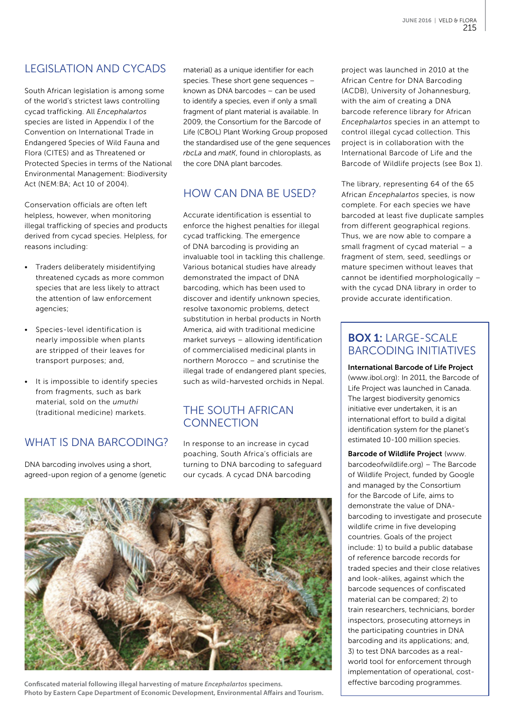# LEGISLATION AND CYCADS

South African legislation is among some of the world's strictest laws controlling cycad trafficking. All *Encephalartos*  species are listed in Appendix I of the Convention on International Trade in Endangered Species of Wild Fauna and Flora (CITES) and as Threatened or Protected Species in terms of the National Environmental Management: Biodiversity Act (NEM:BA; Act 10 of 2004).

Conservation officials are often left helpless, however, when monitoring illegal trafficking of species and products derived from cycad species. Helpless, for reasons including:

- Traders deliberately misidentifying threatened cycads as more common species that are less likely to attract the attention of law enforcement agencies;
- Species-level identification is nearly impossible when plants are stripped of their leaves for transport purposes; and,
- It is impossible to identify species from fragments, such as bark material, sold on the *umuthi* (traditional medicine) markets.

### WHAT IS DNA BARCODING?

DNA barcoding involves using a short, agreed-upon region of a genome (genetic material) as a unique identifier for each species. These short gene sequences – known as DNA barcodes – can be used to identify a species, even if only a small fragment of plant material is available. In 2009, the Consortium for the Barcode of Life (CBOL) Plant Working Group proposed the standardised use of the gene sequences *rbcLa* and *matK*, found in chloroplasts, as the core DNA plant barcodes.

### HOW CAN DNA BE USED?

Accurate identification is essential to enforce the highest penalties for illegal cycad trafficking. The emergence of DNA barcoding is providing an invaluable tool in tackling this challenge. Various botanical studies have already demonstrated the impact of DNA barcoding, which has been used to discover and identify unknown species, resolve taxonomic problems, detect substitution in herbal products in North America, aid with traditional medicine market surveys – allowing identification of commercialised medicinal plants in northern Morocco – and scrutinise the illegal trade of endangered plant species, such as wild-harvested orchids in Nepal.

#### THE SOUTH AFRICAN **CONNECTION**

In response to an increase in cycad poaching, South Africa's officials are turning to DNA barcoding to safeguard our cycads. A cycad DNA barcoding



**Confiscated material following illegal harvesting of mature** *Encephalartos* **specimens. Photo by Eastern Cape Department of Economic Development, Environmental Affairs and Tourism.**

project was launched in 2010 at the African Centre for DNA Barcoding (ACDB), University of Johannesburg, with the aim of creating a DNA barcode reference library for African *Encephalartos* species in an attempt to control illegal cycad collection. This project is in collaboration with the International Barcode of Life and the Barcode of Wildlife projects (see Box 1).

The library, representing 64 of the 65 African *Encephalartos* species, is now complete. For each species we have barcoded at least five duplicate samples from different geographical regions. Thus, we are now able to compare a small fragment of cycad material – a fragment of stem, seed, seedlings or mature specimen without leaves that cannot be identified morphologically – with the cycad DNA library in order to provide accurate identification.

### BOX 1: LARGE-SCALE BARCODING INITIATIVES

International Barcode of Life Project ([www.ibol.org](http://www.ibol.org)): In 2011, the Barcode of Life Project was launched in Canada. The largest biodiversity genomics initiative ever undertaken, it is an international effort to build a digital identification system for the planet's estimated 10-100 million species.

Barcode of Wildlife Project [\(www.](http://www.barcodeofwildlife.org) [barcodeofwildlife.org](http://www.barcodeofwildlife.org)) – The Barcode of Wildlife Project, funded by Google and managed by the Consortium for the Barcode of Life, aims to demonstrate the value of DNAbarcoding to investigate and prosecute wildlife crime in five developing countries. Goals of the project include: 1) to build a public database of reference barcode records for traded species and their close relatives and look-alikes, against which the barcode sequences of confiscated material can be compared; 2) to train researchers, technicians, border inspectors, prosecuting attorneys in the participating countries in DNA barcoding and its applications; and, 3) to test DNA barcodes as a realworld tool for enforcement through implementation of operational, costeffective barcoding programmes.